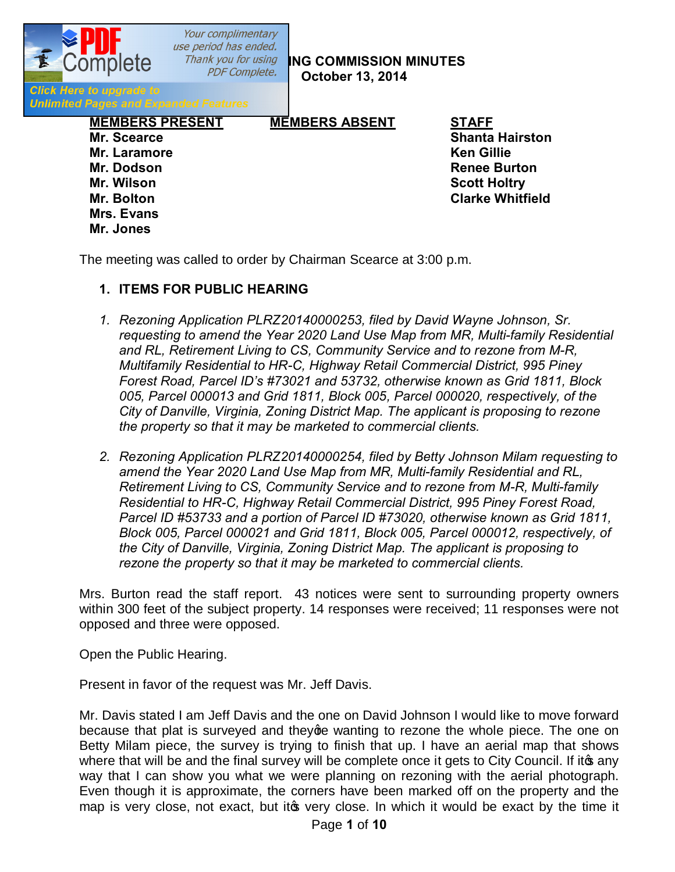Your complimentary use period has ended.

**PDF Complete. COMMISSION MINUTES October 13, 2014**

**Click Here to upgrade to Unlimited Pages and Expanded Features** 

> **MEMBERS PRESENT MEMBERS ABSENT STAFF Mr. Scearce Shanta Hairston Mr. Laramore Ken Gillie Mr. Dodson Renee Burton Mr. Wilson Scott Holtry Mr. Bolton Clarke Whitfield Mrs. Evans Mr. Jones**

The meeting was called to order by Chairman Scearce at 3:00 p.m.

## **1. ITEMS FOR PUBLIC HEARING**

- *1. Rezoning Application PLRZ20140000253, filed by David Wayne Johnson, Sr. requesting to amend the Year 2020 Land Use Map from MR, Multi-family Residential and RL, Retirement Living to CS, Community Service and to rezone from M-R, Multifamily Residential to HR-C, Highway Retail Commercial District, 995 Piney Forest Road, Parcel ID's #73021 and 53732, otherwise known as Grid 1811, Block 005, Parcel 000013 and Grid 1811, Block 005, Parcel 000020, respectively, of the City of Danville, Virginia, Zoning District Map. The applicant is proposing to rezone the property so that it may be marketed to commercial clients.*
- *2. Rezoning Application PLRZ20140000254, filed by Betty Johnson Milam requesting to amend the Year 2020 Land Use Map from MR, Multi-family Residential and RL, Retirement Living to CS, Community Service and to rezone from M-R, Multi-family Residential to HR-C, Highway Retail Commercial District, 995 Piney Forest Road, Parcel ID #53733 and a portion of Parcel ID #73020, otherwise known as Grid 1811, Block 005, Parcel 000021 and Grid 1811, Block 005, Parcel 000012, respectively, of the City of Danville, Virginia, Zoning District Map. The applicant is proposing to rezone the property so that it may be marketed to commercial clients.*

Mrs. Burton read the staff report. 43 notices were sent to surrounding property owners within 300 feet of the subject property. 14 responses were received; 11 responses were not opposed and three were opposed.

Open the Public Hearing.

Present in favor of the request was Mr. Jeff Davis.

Mr. Davis stated I am Jeff Davis and the one on David Johnson I would like to move forward because that plat is surveyed and they ge wanting to rezone the whole piece. The one on Betty Milam piece, the survey is trying to finish that up. I have an aerial map that shows where that will be and the final survey will be complete once it gets to City Council. If ito any way that I can show you what we were planning on rezoning with the aerial photograph. Even though it is approximate, the corners have been marked off on the property and the map is very close, not exact, but it to very close. In which it would be exact by the time it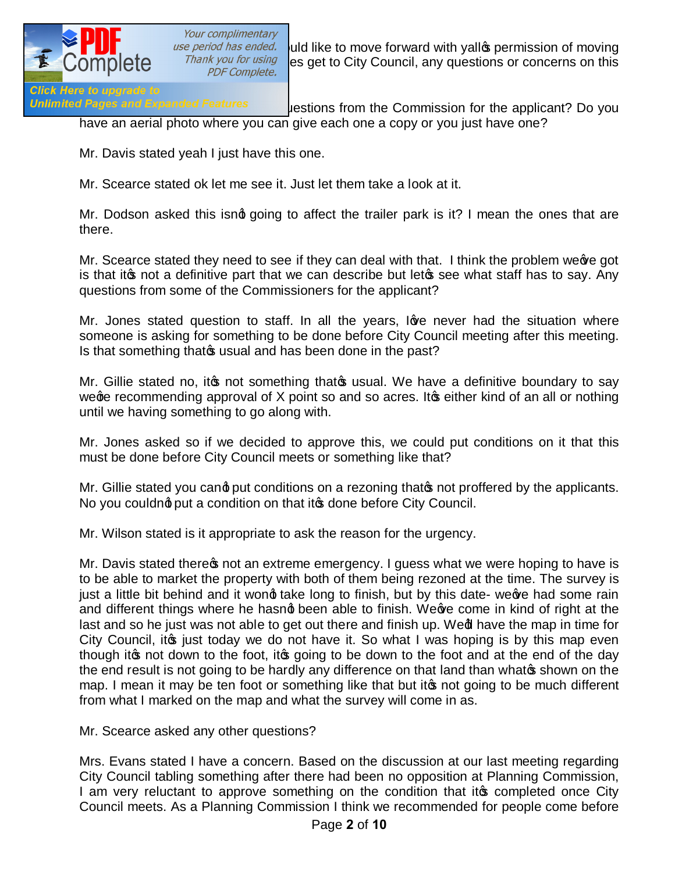

*use period has ended.* Juld like to move forward with yallo permission of moving<br>*Thank you for using* Les get to City Council. any questions or concerns on this ik you for using es get to City Council, any questions or concerns on this *PDF Complete.* 

Unlimited Pages and Expanded Features expections from the Commission for the applicant? Do you have an aerial photo where you can give each one a copy or you just have one?

Mr. Davis stated yeah I just have this one.

Mr. Scearce stated ok let me see it. Just let them take a look at it.

Mr. Dodson asked this isng going to affect the trailer park is it? I mean the ones that are there.

Mr. Scearce stated they need to see if they can deal with that. I think the problem weeve got is that it is not a definitive part that we can describe but let is see what staff has to say. Any questions from some of the Commissioners for the applicant?

Mr. Jones stated question to staff. In all the years, love never had the situation where someone is asking for something to be done before City Council meeting after this meeting. Is that something that of usual and has been done in the past?

Mr. Gillie stated no, it is not something that is usual. We have a definitive boundary to say we ge recommending approval of X point so and so acres. It is either kind of an all or nothing until we having something to go along with.

Mr. Jones asked so if we decided to approve this, we could put conditions on it that this must be done before City Council meets or something like that?

Mr. Gillie stated you cand put conditions on a rezoning that to proffered by the applicants. No you couldnot put a condition on that it to done before City Council.

Mr. Wilson stated is it appropriate to ask the reason for the urgency.

Mr. Davis stated there ts not an extreme emergency. I guess what we were hoping to have is to be able to market the property with both of them being rezoned at the time. The survey is just a little bit behind and it wong take long to finish, but by this date- weeve had some rain and different things where he hasng been able to finish. We ye come in kind of right at the last and so he just was not able to get out there and finish up. Wed have the map in time for City Council, it is just today we do not have it. So what I was hoping is by this map even though it ont down to the foot, it going to be down to the foot and at the end of the day the end result is not going to be hardly any difference on that land than what the shown on the map. I mean it may be ten foot or something like that but it to not going to be much different from what I marked on the map and what the survey will come in as.

Mr. Scearce asked any other questions?

Mrs. Evans stated I have a concern. Based on the discussion at our last meeting regarding City Council tabling something after there had been no opposition at Planning Commission, I am very reluctant to approve something on the condition that it to completed once City Council meets. As a Planning Commission I think we recommended for people come before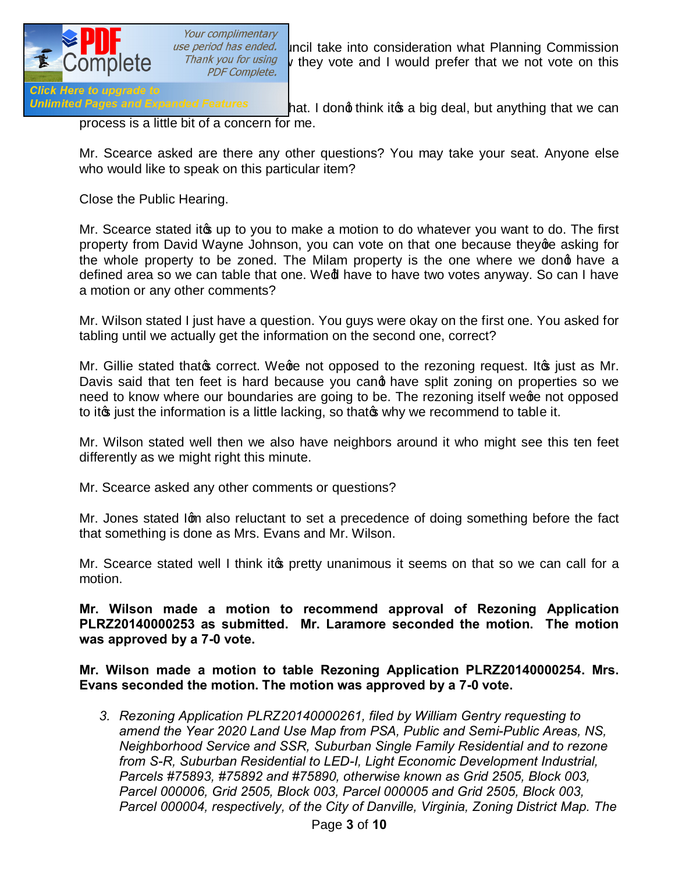

*use period has ended.* Incil take into consideration what Planning Commission<br>*Thank you for using* y they yote and I would prefer that we not yote on this  $\frac{v}{v}$  or  $\frac{v}{v}$  is they vote and I would prefer that we not vote on this *PDF Complete.* 

Unlimited Pages and Expanded Features hat. I dong think it a big deal, but anything that we can process is a little bit of a concern for me.

Mr. Scearce asked are there any other questions? You may take your seat. Anyone else who would like to speak on this particular item?

Close the Public Hearing.

Mr. Scearce stated it a up to you to make a motion to do whatever you want to do. The first property from David Wayne Johnson, you can vote on that one because they ge asking for the whole property to be zoned. The Milam property is the one where we dong have a defined area so we can table that one. Wed have to have two votes anyway. So can I have a motion or any other comments?

Mr. Wilson stated I just have a question. You guys were okay on the first one. You asked for tabling until we actually get the information on the second one, correct?

Mr. Gillie stated that o correct. We ge not opposed to the rezoning request. It was it as Mr. Davis said that ten feet is hard because you cand have split zoning on properties so we need to know where our boundaries are going to be. The rezoning itself wege not opposed to it ig just the information is a little lacking, so that if why we recommend to table it.

Mr. Wilson stated well then we also have neighbors around it who might see this ten feet differently as we might right this minute.

Mr. Scearce asked any other comments or questions?

Mr. Jones stated Igm also reluctant to set a precedence of doing something before the fact that something is done as Mrs. Evans and Mr. Wilson.

Mr. Scearce stated well I think it to pretty unanimous it seems on that so we can call for a motion.

**Mr. Wilson made a motion to recommend approval of Rezoning Application PLRZ20140000253 as submitted. Mr. Laramore seconded the motion. The motion was approved by a 7-0 vote.** 

**Mr. Wilson made a motion to table Rezoning Application PLRZ20140000254. Mrs. Evans seconded the motion. The motion was approved by a 7-0 vote.** 

*3. Rezoning Application PLRZ20140000261, filed by William Gentry requesting to amend the Year 2020 Land Use Map from PSA, Public and Semi-Public Areas, NS, Neighborhood Service and SSR, Suburban Single Family Residential and to rezone from S-R, Suburban Residential to LED-I, Light Economic Development Industrial, Parcels #75893, #75892 and #75890, otherwise known as Grid 2505, Block 003, Parcel 000006, Grid 2505, Block 003, Parcel 000005 and Grid 2505, Block 003, Parcel 000004, respectively, of the City of Danville, Virginia, Zoning District Map. The*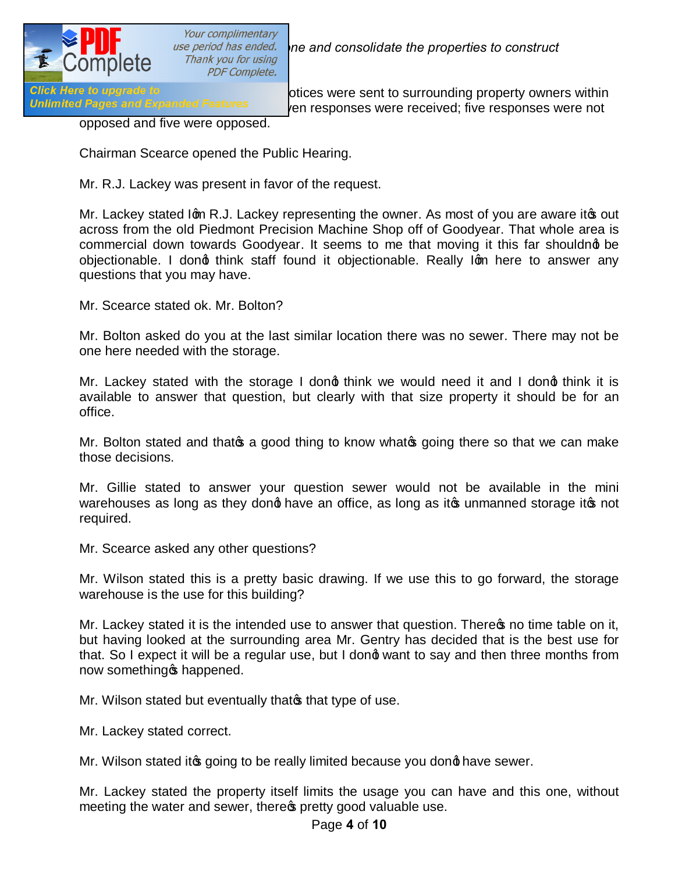

Your complimentary *Thank you for using<br>PDF Complete.* 

*ase period has ended.* The and consolidate the properties to construct

Click Here to upgrade to<br>Unlimited Pages and Expanded Features expanses were received: five responses were not en responses were received; five responses were not

opposed and five were opposed.

Chairman Scearce opened the Public Hearing.

Mr. R.J. Lackey was present in favor of the request.

Mr. Lackey stated Igm R.J. Lackey representing the owner. As most of you are aware it out across from the old Piedmont Precision Machine Shop off of Goodyear. That whole area is commercial down towards Goodyear. It seems to me that moving it this far shouldng be objectionable. I dong think staff found it objectionable. Really Ign here to answer any questions that you may have.

Mr. Scearce stated ok. Mr. Bolton?

Mr. Bolton asked do you at the last similar location there was no sewer. There may not be one here needed with the storage.

Mr. Lackey stated with the storage I dong think we would need it and I dong think it is available to answer that question, but clearly with that size property it should be for an office.

Mr. Bolton stated and that  $\infty$  a good thing to know what  $\infty$  going there so that we can make those decisions.

Mr. Gillie stated to answer your question sewer would not be available in the mini warehouses as long as they dong have an office, as long as ito unmanned storage itos not required.

Mr. Scearce asked any other questions?

Mr. Wilson stated this is a pretty basic drawing. If we use this to go forward, the storage warehouse is the use for this building?

Mr. Lackey stated it is the intended use to answer that question. There on time table on it, but having looked at the surrounding area Mr. Gentry has decided that is the best use for that. So I expect it will be a regular use, but I dong want to say and then three months from now something of happened.

Mr. Wilson stated but eventually that of that type of use.

Mr. Lackey stated correct.

Mr. Wilson stated it going to be really limited because you dong have sewer.

Mr. Lackey stated the property itself limits the usage you can have and this one, without meeting the water and sewer, there pretty good valuable use.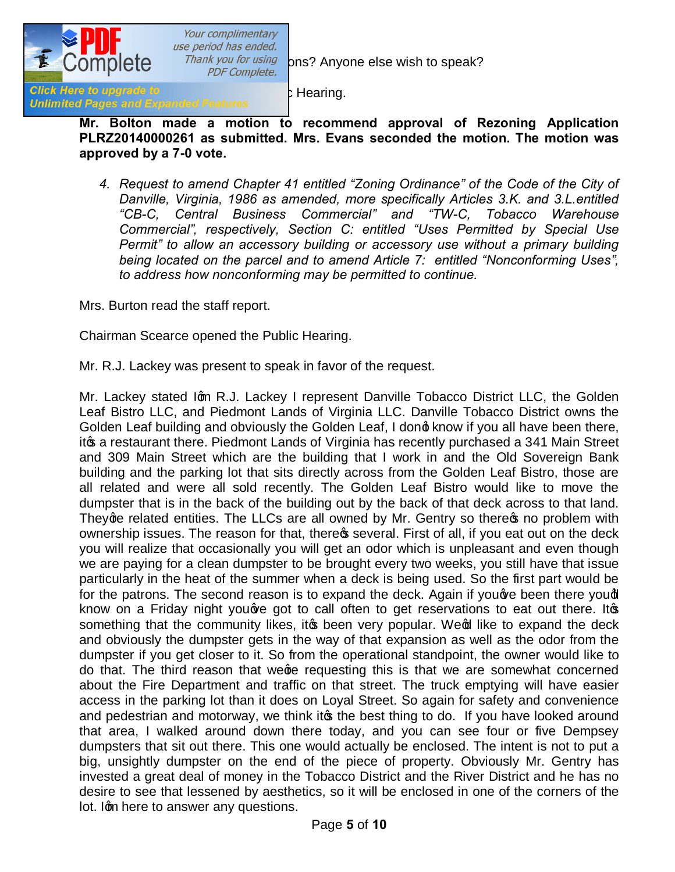

Your complimentary use period has ended.

Thank you for using ons? Anyone else wish to speak?

Click Here to upgrade to expanded Features 2 Hearing.<br>Unlimited Pages and Expanded Features

**Mr. Bolton made a motion to recommend approval of Rezoning Application PLRZ20140000261 as submitted. Mrs. Evans seconded the motion. The motion was approved by a 7-0 vote.**

*4. Request to amend Chapter 41 entitled "Zoning Ordinance" of the Code of the City of Danville, Virginia, 1986 as amended, more specifically Articles 3.K. and 3.L.entitled "CB-C, Central Business Commercial" and "TW-C, Tobacco Warehouse Commercial", respectively, Section C: entitled "Uses Permitted by Special Use Permit" to allow an accessory building or accessory use without a primary building being located on the parcel and to amend Article 7: entitled "Nonconforming Uses", to address how nonconforming may be permitted to continue.*

Mrs. Burton read the staff report.

Chairman Scearce opened the Public Hearing.

Mr. R.J. Lackey was present to speak in favor of the request.

Mr. Lackey stated Ign R.J. Lackey I represent Danville Tobacco District LLC, the Golden Leaf Bistro LLC, and Piedmont Lands of Virginia LLC. Danville Tobacco District owns the Golden Leaf building and obviously the Golden Leaf, I dong know if you all have been there, itos a restaurant there. Piedmont Lands of Virginia has recently purchased a 341 Main Street and 309 Main Street which are the building that I work in and the Old Sovereign Bank building and the parking lot that sits directly across from the Golden Leaf Bistro, those are all related and were all sold recently. The Golden Leaf Bistro would like to move the dumpster that is in the back of the building out by the back of that deck across to that land. They ge related entities. The LLCs are all owned by Mr. Gentry so there to problem with ownership issues. The reason for that, there **s** several. First of all, if you eat out on the deck you will realize that occasionally you will get an odor which is unpleasant and even though we are paying for a clean dumpster to be brought every two weeks, you still have that issue particularly in the heat of the summer when a deck is being used. So the first part would be for the patrons. The second reason is to expand the deck. Again if you we been there you'll know on a Friday night you are got to call often to get reservations to eat out there. It os something that the community likes, it to been very popular. We of like to expand the deck and obviously the dumpster gets in the way of that expansion as well as the odor from the dumpster if you get closer to it. So from the operational standpoint, the owner would like to do that. The third reason that wege requesting this is that we are somewhat concerned about the Fire Department and traffic on that street. The truck emptying will have easier access in the parking lot than it does on Loyal Street. So again for safety and convenience and pedestrian and motorway, we think its the best thing to do. If you have looked around that area, I walked around down there today, and you can see four or five Dempsey dumpsters that sit out there. This one would actually be enclosed. The intent is not to put a big, unsightly dumpster on the end of the piece of property. Obviously Mr. Gentry has invested a great deal of money in the Tobacco District and the River District and he has no desire to see that lessened by aesthetics, so it will be enclosed in one of the corners of the lot. Ign here to answer any questions.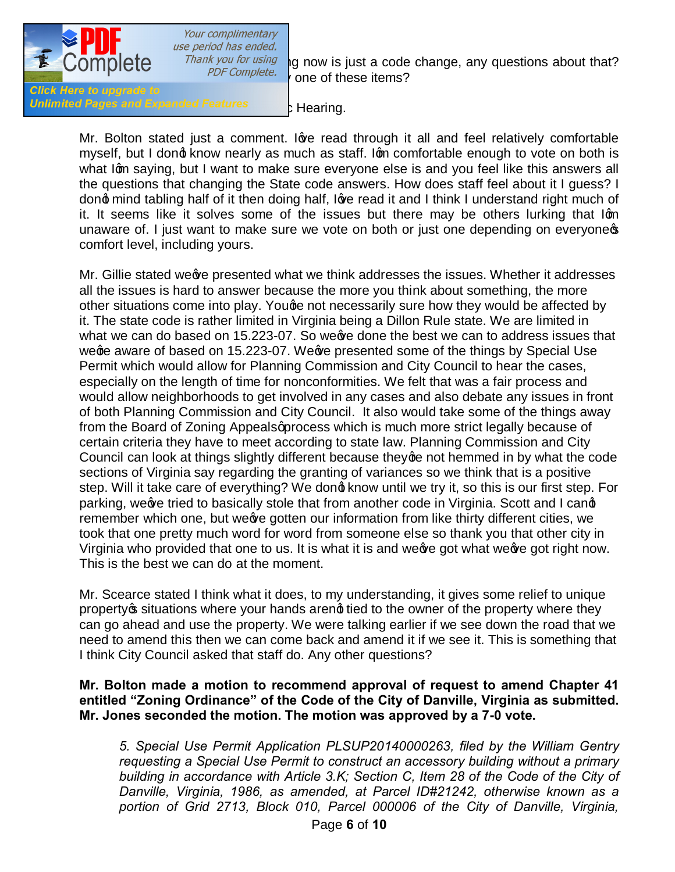

Your complimentary use period has ended.

Thank you for using  $\frac{1}{2}$  now is just a code change, any questions about that? one of these items?

**Click Here to upgrade to** Unlimited Pages and Expanded Features **State Stearing.** 

Mr. Bolton stated just a comment. love read through it all and feel relatively comfortable myself, but I dong know nearly as much as staff. Ign comfortable enough to vote on both is what Igm saying, but I want to make sure everyone else is and you feel like this answers all the questions that changing the State code answers. How does staff feel about it I guess? I dong mind tabling half of it then doing half, love read it and I think I understand right much of it. It seems like it solves some of the issues but there may be others lurking that Ign unaware of. I just want to make sure we vote on both or just one depending on everyones comfort level, including yours.

Mr. Gillie stated weev presented what we think addresses the issues. Whether it addresses all the issues is hard to answer because the more you think about something, the more other situations come into play. Youge not necessarily sure how they would be affected by it. The state code is rather limited in Virginia being a Dillon Rule state. We are limited in what we can do based on 15.223-07. So weeve done the best we can to address issues that wege aware of based on 15.223-07. We are presented some of the things by Special Use Permit which would allow for Planning Commission and City Council to hear the cases, especially on the length of time for nonconformities. We felt that was a fair process and would allow neighborhoods to get involved in any cases and also debate any issues in front of both Planning Commission and City Council. It also would take some of the things away from the Board of Zoning Appeals aprocess which is much more strict legally because of certain criteria they have to meet according to state law. Planning Commission and City Council can look at things slightly different because they ge not hemmed in by what the code sections of Virginia say regarding the granting of variances so we think that is a positive step. Will it take care of everything? We dond know until we try it, so this is our first step. For parking, we we tried to basically stole that from another code in Virginia. Scott and I cand remember which one, but wee gotten our information from like thirty different cities, we took that one pretty much word for word from someone else so thank you that other city in Virginia who provided that one to us. It is what it is and we ge got what we ge got right now. This is the best we can do at the moment.

Mr. Scearce stated I think what it does, to my understanding, it gives some relief to unique property is situations where your hands arengt tied to the owner of the property where they can go ahead and use the property. We were talking earlier if we see down the road that we need to amend this then we can come back and amend it if we see it. This is something that I think City Council asked that staff do. Any other questions?

## **Mr. Bolton made a motion to recommend approval of request to amend Chapter 41 entitled "Zoning Ordinance" of the Code of the City of Danville, Virginia as submitted. Mr. Jones seconded the motion. The motion was approved by a 7-0 vote.**

*5. Special Use Permit Application PLSUP20140000263, filed by the William Gentry requesting a Special Use Permit to construct an accessory building without a primary building in accordance with Article 3.K; Section C, Item 28 of the Code of the City of Danville, Virginia, 1986, as amended, at Parcel ID#21242, otherwise known as a portion of Grid 2713, Block 010, Parcel 000006 of the City of Danville, Virginia,*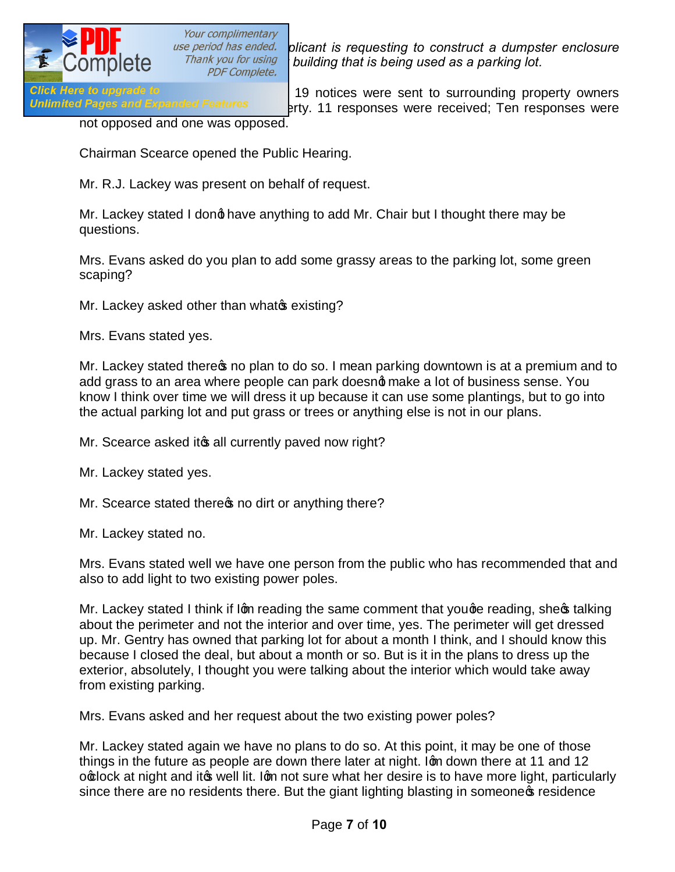

*Dise period has ended.* plicant is requesting to construct a dumpster enclosure and a parking lot a mark you for using  $\frac{1}{2}$  building that is being used as a narking lot *ak you for using building that is being used as a parking lot. PDF Complete.* 

Click Here to upgrade to<br>Unlimited Pages and Expanded Features 19 notices were sent to surrounding property owners erty. 11 responses were received; Ten responses were

not opposed and one was opposed.

Chairman Scearce opened the Public Hearing.

Mr. R.J. Lackey was present on behalf of request.

Mr. Lackey stated I dong have anything to add Mr. Chair but I thought there may be questions.

Mrs. Evans asked do you plan to add some grassy areas to the parking lot, some green scaping?

Mr. Lackey asked other than whate existing?

Mrs. Evans stated yes.

Mr. Lackey stated there no plan to do so. I mean parking downtown is at a premium and to add grass to an area where people can park doesnot make a lot of business sense. You know I think over time we will dress it up because it can use some plantings, but to go into the actual parking lot and put grass or trees or anything else is not in our plans.

Mr. Scearce asked its all currently paved now right?

Mr. Lackey stated yes.

Mr. Scearce stated there **s** no dirt or anything there?

Mr. Lackey stated no.

Mrs. Evans stated well we have one person from the public who has recommended that and also to add light to two existing power poles.

Mr. Lackey stated I think if Ign reading the same comment that youge reading, shegs talking about the perimeter and not the interior and over time, yes. The perimeter will get dressed up. Mr. Gentry has owned that parking lot for about a month I think, and I should know this because I closed the deal, but about a month or so. But is it in the plans to dress up the exterior, absolutely, I thought you were talking about the interior which would take away from existing parking.

Mrs. Evans asked and her request about the two existing power poles?

Mr. Lackey stated again we have no plans to do so. At this point, it may be one of those things in the future as people are down there later at night. Iom down there at 11 and 12 o o lock at night and it well lit. Ign not sure what her desire is to have more light, particularly since there are no residents there. But the giant lighting blasting in someone presidence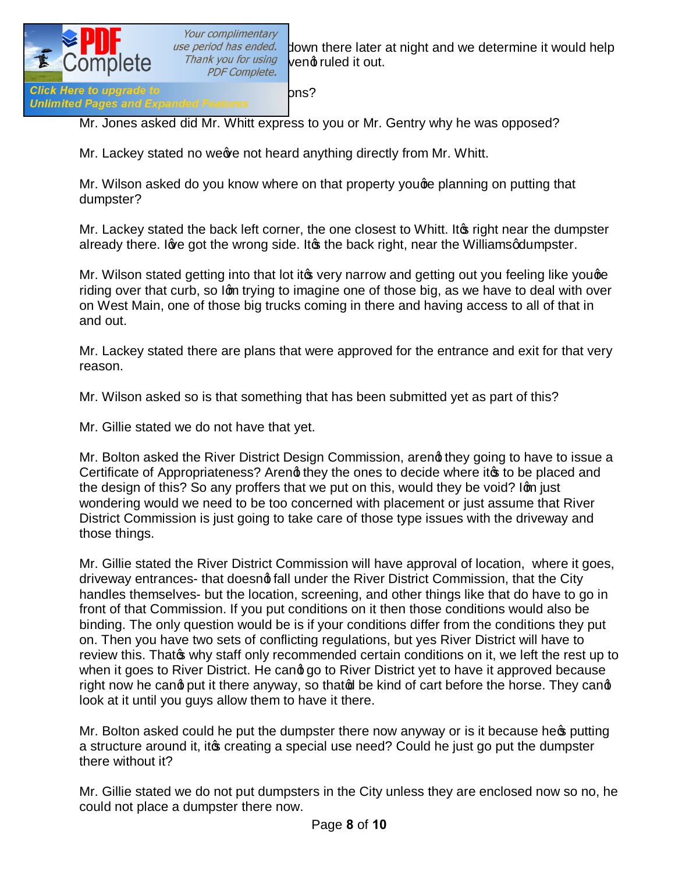

use period has ended. Jown there later at night and we determine it would help<br>Thank you for using vend ruled it out nk you for using vend ruled it out.<br>PDF Complete.

Mr. Jones asked did Mr. Whitt express to you or Mr. Gentry why he was opposed?

Mr. Lackey stated no weeve not heard anything directly from Mr. Whitt.

Mr. Wilson asked do you know where on that property youge planning on putting that dumpster?

Mr. Lackey stated the back left corner, the one closest to Whitt. It ig right near the dumpster already there. I are got the wrong side. It as the back right, near the Williams gdumpster.

Mr. Wilson stated getting into that lot it to very narrow and getting out you feeling like you ge riding over that curb, so Ign trying to imagine one of those big, as we have to deal with over on West Main, one of those big trucks coming in there and having access to all of that in and out.

Mr. Lackey stated there are plans that were approved for the entrance and exit for that very reason.

Mr. Wilson asked so is that something that has been submitted yet as part of this?

Mr. Gillie stated we do not have that yet.

Mr. Bolton asked the River District Design Commission, areng they going to have to issue a Certificate of Appropriateness? Areng they the ones to decide where it to be placed and the design of this? So any proffers that we put on this, would they be void? Ign just wondering would we need to be too concerned with placement or just assume that River District Commission is just going to take care of those type issues with the driveway and those things.

Mr. Gillie stated the River District Commission will have approval of location, where it goes, driveway entrances- that doesng fall under the River District Commission, that the City handles themselves- but the location, screening, and other things like that do have to go in front of that Commission. If you put conditions on it then those conditions would also be binding. The only question would be is if your conditions differ from the conditions they put on. Then you have two sets of conflicting regulations, but yes River District will have to review this. That why staff only recommended certain conditions on it, we left the rest up to when it goes to River District. He cand go to River District yet to have it approved because right now he cand put it there anyway, so that of be kind of cart before the horse. They cand look at it until you guys allow them to have it there.

Mr. Bolton asked could he put the dumpster there now anyway or is it because here putting a structure around it, it to creating a special use need? Could he just go put the dumpster there without it?

Mr. Gillie stated we do not put dumpsters in the City unless they are enclosed now so no, he could not place a dumpster there now.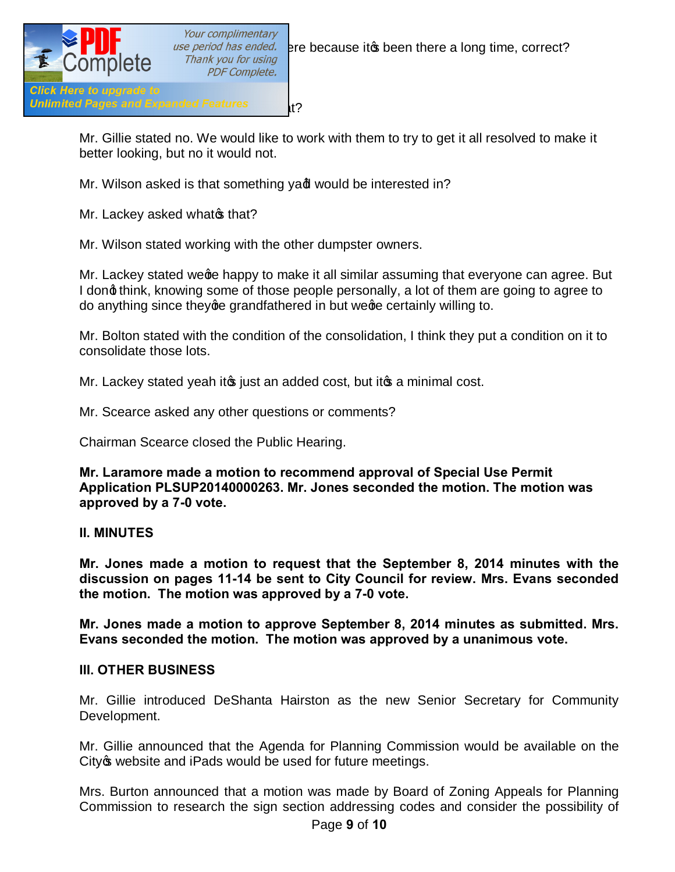

Mr. Gillie stated no. We would like to work with them to try to get it all resolved to make it better looking, but no it would not.

Mr. Wilson asked is that something yad would be interested in?

Mr. Lackey asked what of that?

Mr. Wilson stated working with the other dumpster owners.

Mr. Lackey stated wege happy to make it all similar assuming that everyone can agree. But I dong think, knowing some of those people personally, a lot of them are going to agree to do anything since they ge grandfathered in but we ge certainly willing to.

Mr. Bolton stated with the condition of the consolidation, I think they put a condition on it to consolidate those lots.

Mr. Lackey stated yeah it its just an added cost, but it its a minimal cost.

Mr. Scearce asked any other questions or comments?

Chairman Scearce closed the Public Hearing.

**Mr. Laramore made a motion to recommend approval of Special Use Permit Application PLSUP20140000263. Mr. Jones seconded the motion. The motion was approved by a 7-0 vote.**

## **II. MINUTES**

**Mr. Jones made a motion to request that the September 8, 2014 minutes with the discussion on pages 11-14 be sent to City Council for review. Mrs. Evans seconded the motion. The motion was approved by a 7-0 vote.**

**Mr. Jones made a motion to approve September 8, 2014 minutes as submitted. Mrs. Evans seconded the motion. The motion was approved by a unanimous vote.**

## **III. OTHER BUSINESS**

Mr. Gillie introduced DeShanta Hairston as the new Senior Secretary for Community Development.

Mr. Gillie announced that the Agenda for Planning Commission would be available on the City ture website and iPads would be used for future meetings.

Mrs. Burton announced that a motion was made by Board of Zoning Appeals for Planning Commission to research the sign section addressing codes and consider the possibility of